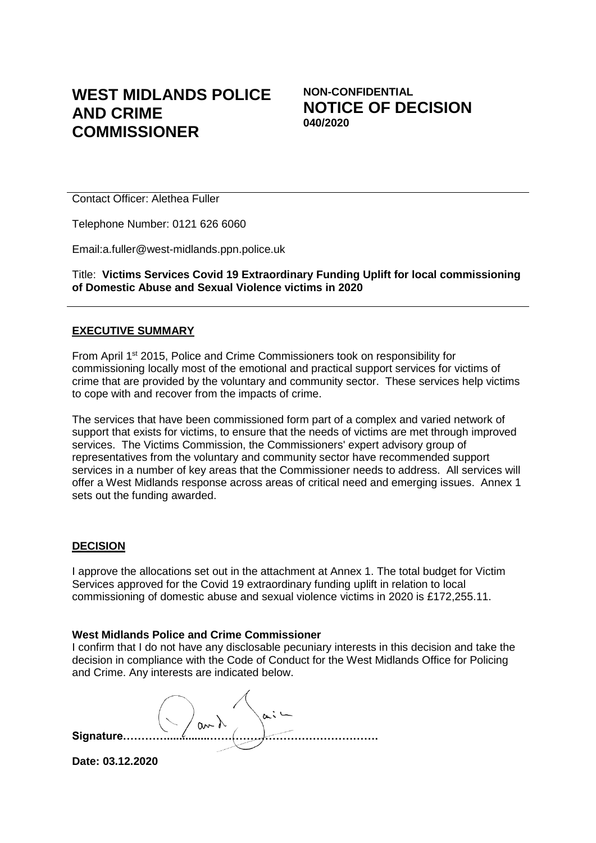# **WEST MIDLANDS POLICE AND CRIME COMMISSIONER**

**NON-CONFIDENTIAL NOTICE OF DECISION 040/2020**

Contact Officer: Alethea Fuller

Telephone Number: 0121 626 6060

Email:a.fuller@west-midlands.ppn.police.uk

Title: **Victims Services Covid 19 Extraordinary Funding Uplift for local commissioning of Domestic Abuse and Sexual Violence victims in 2020** 

#### **EXECUTIVE SUMMARY**

From April 1<sup>st</sup> 2015, Police and Crime Commissioners took on responsibility for commissioning locally most of the emotional and practical support services for victims of crime that are provided by the voluntary and community sector. These services help victims to cope with and recover from the impacts of crime.

The services that have been commissioned form part of a complex and varied network of support that exists for victims, to ensure that the needs of victims are met through improved services. The Victims Commission, the Commissioners' expert advisory group of representatives from the voluntary and community sector have recommended support services in a number of key areas that the Commissioner needs to address. All services will offer a West Midlands response across areas of critical need and emerging issues. Annex 1 sets out the funding awarded.

#### **DECISION**

I approve the allocations set out in the attachment at Annex 1. The total budget for Victim Services approved for the Covid 19 extraordinary funding uplift in relation to local commissioning of domestic abuse and sexual violence victims in 2020 is £172,255.11.

#### **West Midlands Police and Crime Commissioner**

I confirm that I do not have any disclosable pecuniary interests in this decision and take the decision in compliance with the Code of Conduct for the West Midlands Office for Policing and Crime. Any interests are indicated below.

**Signature…………..............……………………………………….**

**Date: 03.12.2020**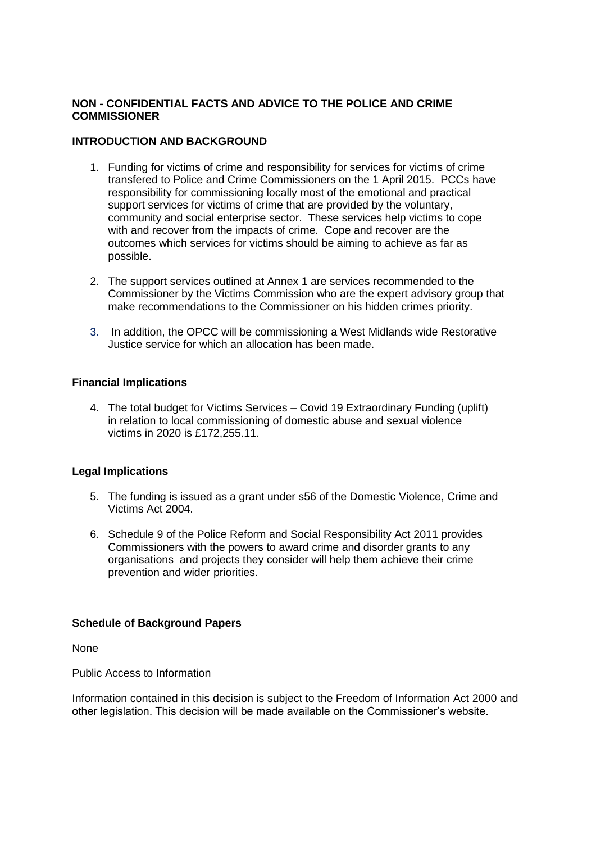## **NON - CONFIDENTIAL FACTS AND ADVICE TO THE POLICE AND CRIME COMMISSIONER**

### **INTRODUCTION AND BACKGROUND**

- 1. Funding for victims of crime and responsibility for services for victims of crime transfered to Police and Crime Commissioners on the 1 April 2015. PCCs have responsibility for commissioning locally most of the emotional and practical support services for victims of crime that are provided by the voluntary, community and social enterprise sector. These services help victims to cope with and recover from the impacts of crime. Cope and recover are the outcomes which services for victims should be aiming to achieve as far as possible.
- 2. The support services outlined at Annex 1 are services recommended to the Commissioner by the Victims Commission who are the expert advisory group that make recommendations to the Commissioner on his hidden crimes priority.
- 3. In addition, the OPCC will be commissioning a West Midlands wide Restorative Justice service for which an allocation has been made.

#### **Financial Implications**

4. The total budget for Victims Services – Covid 19 Extraordinary Funding (uplift) in relation to local commissioning of domestic abuse and sexual violence victims in 2020 is £172,255.11.

## **Legal Implications**

- 5. The funding is issued as a grant under s56 of the Domestic Violence, Crime and Victims Act 2004.
- 6. Schedule 9 of the Police Reform and Social Responsibility Act 2011 provides Commissioners with the powers to award crime and disorder grants to any organisations and projects they consider will help them achieve their crime prevention and wider priorities.

#### **Schedule of Background Papers**

None

Public Access to Information

Information contained in this decision is subject to the Freedom of Information Act 2000 and other legislation. This decision will be made available on the Commissioner's website.